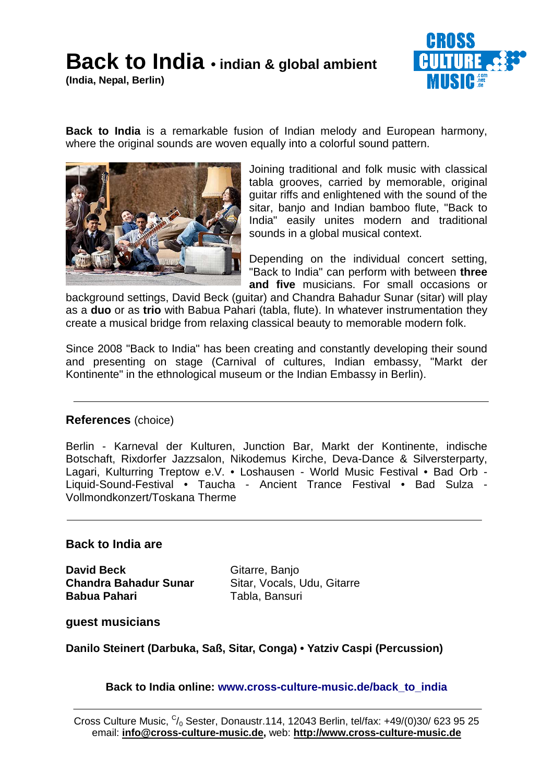## **Back to India • indian & global ambient**

**(India, Nepal, Berlin)**



**Back to India** is a remarkable fusion of Indian melody and European harmony, where the original sounds are woven equally into a colorful sound pattern.



Joining traditional and folk music with classical tabla grooves, carried by memorable, original guitar riffs and enlightened with the sound of the sitar, banjo and Indian bamboo flute, "Back to India" easily unites modern and traditional sounds in a global musical context.

Depending on the individual concert setting, "Back to India" can perform with between **three and five** musicians. For small occasions or

background settings, David Beck (guitar) and Chandra Bahadur Sunar (sitar) will play as a **duo** or as **trio** with Babua Pahari (tabla, flute). In whatever instrumentation they create a musical bridge from relaxing classical beauty to memorable modern folk.

Since 2008 "Back to India" has been creating and constantly developing their sound and presenting on stage (Carnival of cultures, Indian embassy, "Markt der Kontinente" in the ethnological museum or the Indian Embassy in Berlin).

## **References** (choice)

Berlin - Karneval der Kulturen, Junction Bar, Markt der Kontinente, indische Botschaft, Rixdorfer Jazzsalon, Nikodemus Kirche, Deva-Dance & Silversterparty, Lagari, Kulturring Treptow e.V. • Loshausen - World Music Festival • Bad Orb - Liquid-Sound-Festival • Taucha - Ancient Trance Festival • Bad Sulza - Vollmondkonzert/Toskana Therme

## **Back to India are**

**David Beck** Gitarre, Banjo **Chandra Bahadur Sunar** Sitar, Vocals, Udu, Gitarre **Babua Pahari** Tabla, Bansuri

**guest musicians**

**Danilo Steinert (Darbuka, Saß, Sitar, Conga) • Yatziv Caspi (Percussion)**

**Back to India online: www.cross-culture-music.de/back\_to\_india**

Cross Culture Music,  $C/0$  Sester, Donaustr.114, 12043 Berlin, tel/fax: +49/(0)30/ 623 95 25 email: **info@cross-culture-music.de,** web: **http://www.cross-culture-music.de**